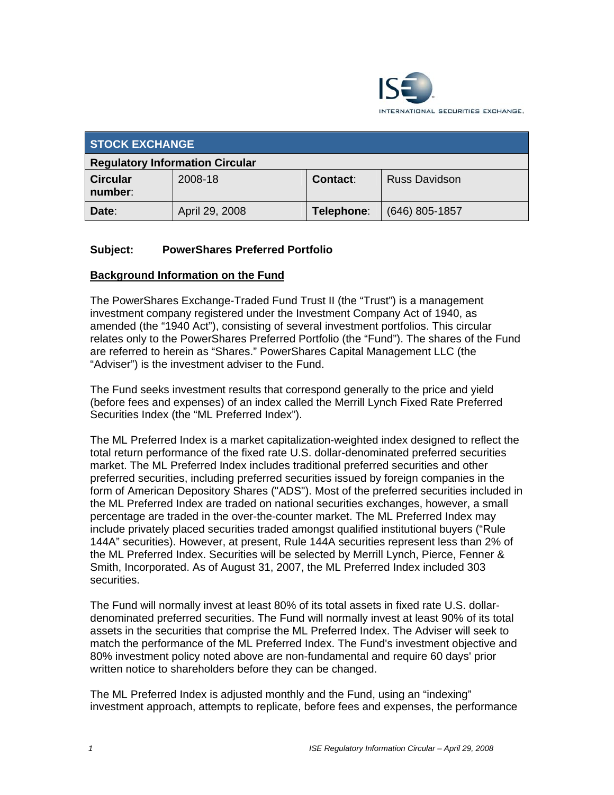

| <b>STOCK EXCHANGE</b>                  |                |                 |                      |
|----------------------------------------|----------------|-----------------|----------------------|
| <b>Regulatory Information Circular</b> |                |                 |                      |
| <b>Circular</b><br>number:             | 2008-18        | <b>Contact:</b> | <b>Russ Davidson</b> |
| Date:                                  | April 29, 2008 | Telephone:      | $(646)$ 805-1857     |

#### **Subject: PowerShares Preferred Portfolio**

#### **Background Information on the Fund**

The PowerShares Exchange-Traded Fund Trust II (the "Trust") is a management investment company registered under the Investment Company Act of 1940, as amended (the "1940 Act"), consisting of several investment portfolios. This circular relates only to the PowerShares Preferred Portfolio (the "Fund"). The shares of the Fund are referred to herein as "Shares." PowerShares Capital Management LLC (the "Adviser") is the investment adviser to the Fund.

The Fund seeks investment results that correspond generally to the price and yield (before fees and expenses) of an index called the Merrill Lynch Fixed Rate Preferred Securities Index (the "ML Preferred Index").

The ML Preferred Index is a market capitalization-weighted index designed to reflect the total return performance of the fixed rate U.S. dollar-denominated preferred securities market. The ML Preferred Index includes traditional preferred securities and other preferred securities, including preferred securities issued by foreign companies in the form of American Depository Shares ("ADS"). Most of the preferred securities included in the ML Preferred Index are traded on national securities exchanges, however, a small percentage are traded in the over-the-counter market. The ML Preferred Index may include privately placed securities traded amongst qualified institutional buyers ("Rule 144A" securities). However, at present, Rule 144A securities represent less than 2% of the ML Preferred Index. Securities will be selected by Merrill Lynch, Pierce, Fenner & Smith, Incorporated. As of August 31, 2007, the ML Preferred Index included 303 securities.

The Fund will normally invest at least 80% of its total assets in fixed rate U.S. dollardenominated preferred securities. The Fund will normally invest at least 90% of its total assets in the securities that comprise the ML Preferred Index. The Adviser will seek to match the performance of the ML Preferred Index. The Fund's investment objective and 80% investment policy noted above are non-fundamental and require 60 days' prior written notice to shareholders before they can be changed.

The ML Preferred Index is adjusted monthly and the Fund, using an "indexing" investment approach, attempts to replicate, before fees and expenses, the performance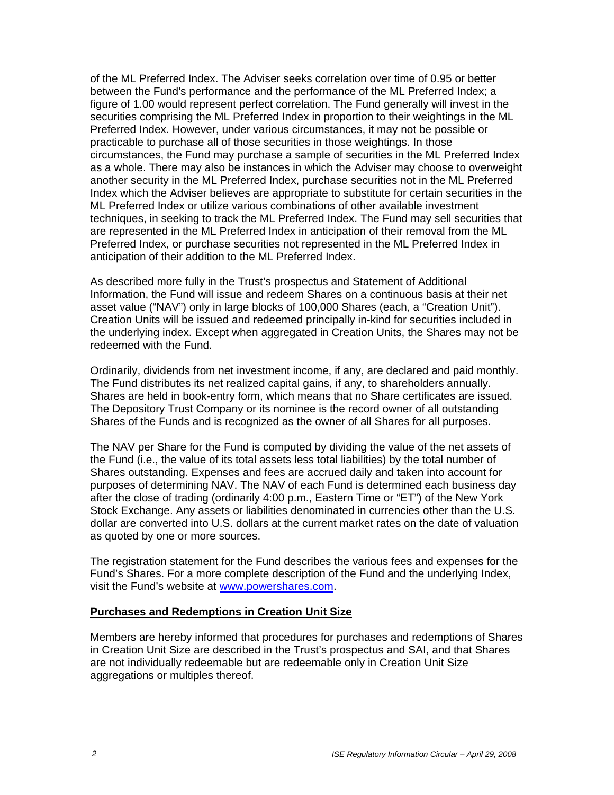of the ML Preferred Index. The Adviser seeks correlation over time of 0.95 or better between the Fund's performance and the performance of the ML Preferred Index; a figure of 1.00 would represent perfect correlation. The Fund generally will invest in the securities comprising the ML Preferred Index in proportion to their weightings in the ML Preferred Index. However, under various circumstances, it may not be possible or practicable to purchase all of those securities in those weightings. In those circumstances, the Fund may purchase a sample of securities in the ML Preferred Index as a whole. There may also be instances in which the Adviser may choose to overweight another security in the ML Preferred Index, purchase securities not in the ML Preferred Index which the Adviser believes are appropriate to substitute for certain securities in the ML Preferred Index or utilize various combinations of other available investment techniques, in seeking to track the ML Preferred Index. The Fund may sell securities that are represented in the ML Preferred Index in anticipation of their removal from the ML Preferred Index, or purchase securities not represented in the ML Preferred Index in anticipation of their addition to the ML Preferred Index.

As described more fully in the Trust's prospectus and Statement of Additional Information, the Fund will issue and redeem Shares on a continuous basis at their net asset value ("NAV") only in large blocks of 100,000 Shares (each, a "Creation Unit"). Creation Units will be issued and redeemed principally in-kind for securities included in the underlying index. Except when aggregated in Creation Units, the Shares may not be redeemed with the Fund.

Ordinarily, dividends from net investment income, if any, are declared and paid monthly. The Fund distributes its net realized capital gains, if any, to shareholders annually. Shares are held in book-entry form, which means that no Share certificates are issued. The Depository Trust Company or its nominee is the record owner of all outstanding Shares of the Funds and is recognized as the owner of all Shares for all purposes.

The NAV per Share for the Fund is computed by dividing the value of the net assets of the Fund (i.e., the value of its total assets less total liabilities) by the total number of Shares outstanding. Expenses and fees are accrued daily and taken into account for purposes of determining NAV. The NAV of each Fund is determined each business day after the close of trading (ordinarily 4:00 p.m., Eastern Time or "ET") of the New York Stock Exchange. Any assets or liabilities denominated in currencies other than the U.S. dollar are converted into U.S. dollars at the current market rates on the date of valuation as quoted by one or more sources.

The registration statement for the Fund describes the various fees and expenses for the Fund's Shares. For a more complete description of the Fund and the underlying Index, visit the Fund's website at www.powershares.com.

#### **Purchases and Redemptions in Creation Unit Size**

Members are hereby informed that procedures for purchases and redemptions of Shares in Creation Unit Size are described in the Trust's prospectus and SAI, and that Shares are not individually redeemable but are redeemable only in Creation Unit Size aggregations or multiples thereof.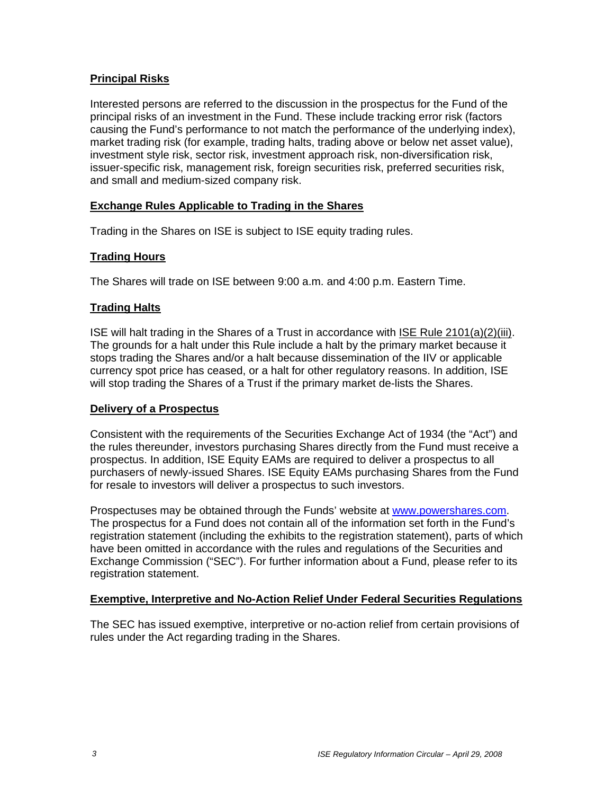## **Principal Risks**

Interested persons are referred to the discussion in the prospectus for the Fund of the principal risks of an investment in the Fund. These include tracking error risk (factors causing the Fund's performance to not match the performance of the underlying index), market trading risk (for example, trading halts, trading above or below net asset value), investment style risk, sector risk, investment approach risk, non-diversification risk, issuer-specific risk, management risk, foreign securities risk, preferred securities risk, and small and medium-sized company risk.

#### **Exchange Rules Applicable to Trading in the Shares**

Trading in the Shares on ISE is subject to ISE equity trading rules.

## **Trading Hours**

The Shares will trade on ISE between 9:00 a.m. and 4:00 p.m. Eastern Time.

## **Trading Halts**

ISE will halt trading in the Shares of a Trust in accordance with ISE Rule 2101(a)(2)(iii). The grounds for a halt under this Rule include a halt by the primary market because it stops trading the Shares and/or a halt because dissemination of the IIV or applicable currency spot price has ceased, or a halt for other regulatory reasons. In addition, ISE will stop trading the Shares of a Trust if the primary market de-lists the Shares.

#### **Delivery of a Prospectus**

Consistent with the requirements of the Securities Exchange Act of 1934 (the "Act") and the rules thereunder, investors purchasing Shares directly from the Fund must receive a prospectus. In addition, ISE Equity EAMs are required to deliver a prospectus to all purchasers of newly-issued Shares. ISE Equity EAMs purchasing Shares from the Fund for resale to investors will deliver a prospectus to such investors.

Prospectuses may be obtained through the Funds' website at www.powershares.com. The prospectus for a Fund does not contain all of the information set forth in the Fund's registration statement (including the exhibits to the registration statement), parts of which have been omitted in accordance with the rules and regulations of the Securities and Exchange Commission ("SEC"). For further information about a Fund, please refer to its registration statement.

#### **Exemptive, Interpretive and No-Action Relief Under Federal Securities Regulations**

The SEC has issued exemptive, interpretive or no-action relief from certain provisions of rules under the Act regarding trading in the Shares.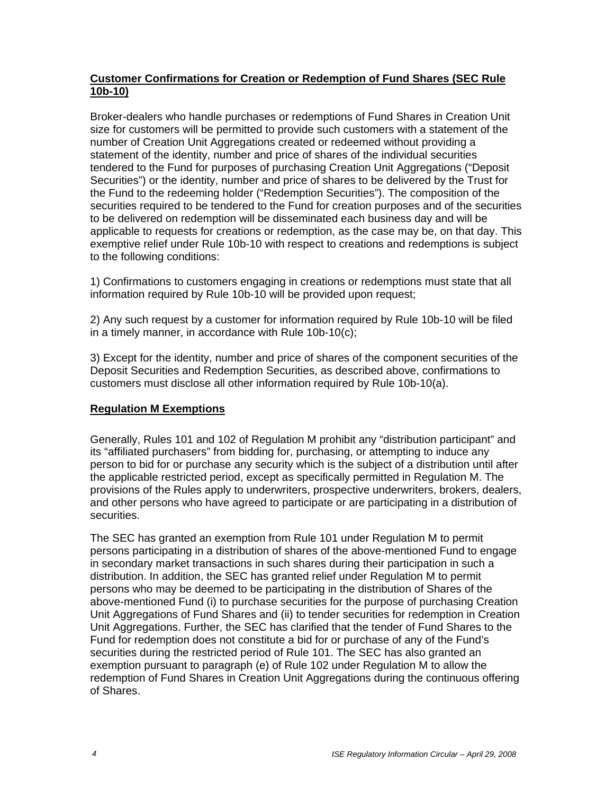### **Customer Confirmations for Creation or Redemption of Fund Shares (SEC Rule 10b-10)**

Broker-dealers who handle purchases or redemptions of Fund Shares in Creation Unit size for customers will be permitted to provide such customers with a statement of the number of Creation Unit Aggregations created or redeemed without providing a statement of the identity, number and price of shares of the individual securities tendered to the Fund for purposes of purchasing Creation Unit Aggregations ("Deposit Securities") or the identity, number and price of shares to be delivered by the Trust for the Fund to the redeeming holder ("Redemption Securities"). The composition of the securities required to be tendered to the Fund for creation purposes and of the securities to be delivered on redemption will be disseminated each business day and will be applicable to requests for creations or redemption, as the case may be, on that day. This exemptive relief under Rule 10b-10 with respect to creations and redemptions is subject to the following conditions:

1) Confirmations to customers engaging in creations or redemptions must state that all information required by Rule 10b-10 will be provided upon request;

2) Any such request by a customer for information required by Rule 10b-10 will be filed in a timely manner, in accordance with Rule 10b-10(c);

3) Except for the identity, number and price of shares of the component securities of the Deposit Securities and Redemption Securities, as described above, confirmations to customers must disclose all other information required by Rule 10b-10(a).

# **Regulation M Exemptions**

Generally, Rules 101 and 102 of Regulation M prohibit any "distribution participant" and its "affiliated purchasers" from bidding for, purchasing, or attempting to induce any person to bid for or purchase any security which is the subject of a distribution until after the applicable restricted period, except as specifically permitted in Regulation M. The provisions of the Rules apply to underwriters, prospective underwriters, brokers, dealers, and other persons who have agreed to participate or are participating in a distribution of securities.

The SEC has granted an exemption from Rule 101 under Regulation M to permit persons participating in a distribution of shares of the above-mentioned Fund to engage in secondary market transactions in such shares during their participation in such a distribution. In addition, the SEC has granted relief under Regulation M to permit persons who may be deemed to be participating in the distribution of Shares of the above-mentioned Fund (i) to purchase securities for the purpose of purchasing Creation Unit Aggregations of Fund Shares and (ii) to tender securities for redemption in Creation Unit Aggregations. Further, the SEC has clarified that the tender of Fund Shares to the Fund for redemption does not constitute a bid for or purchase of any of the Fund's securities during the restricted period of Rule 101. The SEC has also granted an exemption pursuant to paragraph (e) of Rule 102 under Regulation M to allow the redemption of Fund Shares in Creation Unit Aggregations during the continuous offering of Shares.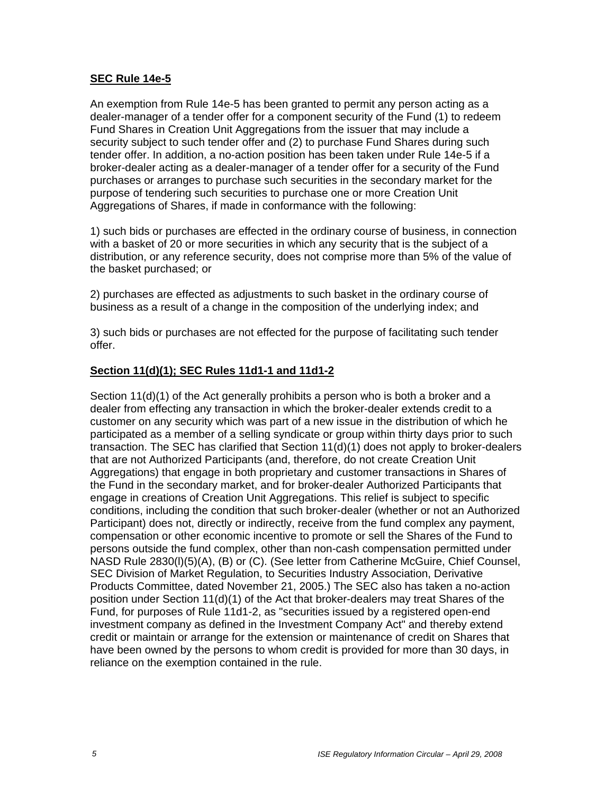#### **SEC Rule 14e-5**

An exemption from Rule 14e-5 has been granted to permit any person acting as a dealer-manager of a tender offer for a component security of the Fund (1) to redeem Fund Shares in Creation Unit Aggregations from the issuer that may include a security subject to such tender offer and (2) to purchase Fund Shares during such tender offer. In addition, a no-action position has been taken under Rule 14e-5 if a broker-dealer acting as a dealer-manager of a tender offer for a security of the Fund purchases or arranges to purchase such securities in the secondary market for the purpose of tendering such securities to purchase one or more Creation Unit Aggregations of Shares, if made in conformance with the following:

1) such bids or purchases are effected in the ordinary course of business, in connection with a basket of 20 or more securities in which any security that is the subject of a distribution, or any reference security, does not comprise more than 5% of the value of the basket purchased; or

2) purchases are effected as adjustments to such basket in the ordinary course of business as a result of a change in the composition of the underlying index; and

3) such bids or purchases are not effected for the purpose of facilitating such tender offer.

#### **Section 11(d)(1); SEC Rules 11d1-1 and 11d1-2**

Section 11(d)(1) of the Act generally prohibits a person who is both a broker and a dealer from effecting any transaction in which the broker-dealer extends credit to a customer on any security which was part of a new issue in the distribution of which he participated as a member of a selling syndicate or group within thirty days prior to such transaction. The SEC has clarified that Section 11(d)(1) does not apply to broker-dealers that are not Authorized Participants (and, therefore, do not create Creation Unit Aggregations) that engage in both proprietary and customer transactions in Shares of the Fund in the secondary market, and for broker-dealer Authorized Participants that engage in creations of Creation Unit Aggregations. This relief is subject to specific conditions, including the condition that such broker-dealer (whether or not an Authorized Participant) does not, directly or indirectly, receive from the fund complex any payment, compensation or other economic incentive to promote or sell the Shares of the Fund to persons outside the fund complex, other than non-cash compensation permitted under NASD Rule 2830(l)(5)(A), (B) or (C). (See letter from Catherine McGuire, Chief Counsel, SEC Division of Market Regulation, to Securities Industry Association, Derivative Products Committee, dated November 21, 2005.) The SEC also has taken a no-action position under Section 11(d)(1) of the Act that broker-dealers may treat Shares of the Fund, for purposes of Rule 11d1-2, as "securities issued by a registered open-end investment company as defined in the Investment Company Act" and thereby extend credit or maintain or arrange for the extension or maintenance of credit on Shares that have been owned by the persons to whom credit is provided for more than 30 days, in reliance on the exemption contained in the rule.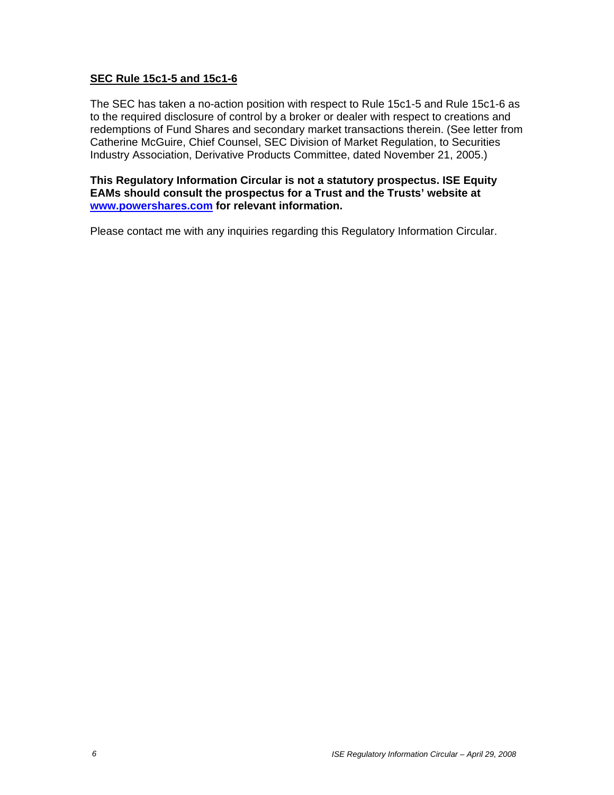#### **SEC Rule 15c1-5 and 15c1-6**

The SEC has taken a no-action position with respect to Rule 15c1-5 and Rule 15c1-6 as to the required disclosure of control by a broker or dealer with respect to creations and redemptions of Fund Shares and secondary market transactions therein. (See letter from Catherine McGuire, Chief Counsel, SEC Division of Market Regulation, to Securities Industry Association, Derivative Products Committee, dated November 21, 2005.)

**This Regulatory Information Circular is not a statutory prospectus. ISE Equity EAMs should consult the prospectus for a Trust and the Trusts' website at www.powershares.com for relevant information.** 

Please contact me with any inquiries regarding this Regulatory Information Circular.